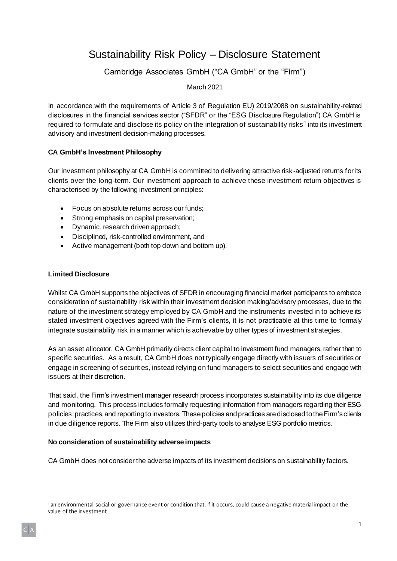# Sustainability Risk Policy – Disclosure Statement

## Cambridge Associates GmbH ("CA GmbH" or the "Firm")

## March 2021

In accordance with the requirements of Article 3 of Requlation EU) 2019/2088 on sustainability-related disclosures in the financial services sector ("SFDR" or the "ESG Disclosure Regulation") CA GmbH is required to formulate and disclose its policy on the integration of sustainability risks<sup>1</sup> into its investment advisory and investment decision-making processes.

## **CA GmbH's Investment Philosophy**

Our investment philosophy at CA GmbH is committed to delivering attractive risk-adjusted returns for its clients over the long-term. Our investment approach to achieve these investment return objectives is characterised by the following investment principles:

- Focus on absolute returns across our funds;
- Strong emphasis on capital preservation;
- Dynamic, research driven approach;
- Disciplined, risk-controlled environment, and
- Active management (both top down and bottom up).

#### **Limited Disclosure**

Whilst CA GmbH supports the objectives of SFDR in encouraging financial market participants to embrace consideration of sustainability risk within their investment decision making/advisory processes, due to the nature of the investment strategy employed by CA GmbH and the instruments invested in to achieve its stated investment objectives agreed with the Firm's clients, it is not practicable at this time to formally integrate sustainability risk in a manner which is achievable by other types of investment strategies.

As an asset allocator, CA GmbH primarily directs client capital to investment fund managers, rather than to specific securities. As a result, CA GmbH does not typically engage directly with issuers of securities or engage in screening of securities, instead relying on fund managers to select securities and engage with issuers at their discretion.

That said, the Firm's investment manager research process incorporates sustainability into its due diligence and monitoring. This process includes formally requesting information from managers regarding their ESG policies, practices, and reporting to investors. These policies and practices are disclosed to the Firm's clients in due diligence reports. The Firm also utilizes third-party tools to analyse ESG portfolio metrics.

#### **No consideration of sustainability adverse impacts**

CA GmbH does not consider the adverse impacts of its investment decisions on sustainability factors.

1 an environmental, social or governance event or condition that, if it occurs, could cause a negative material impact on the value of the investment